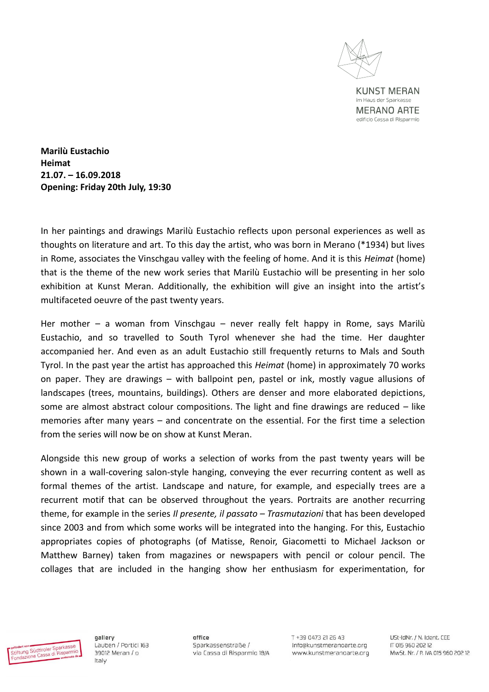

**KUNST MERAN** im Haus der Sparkasse **MERANO ARTE** edificio Cassa di Risparmio

**Marilù Eustachio Heimat 21.07. – 16.09.2018 Opening: Friday 20th July, 19:30** 

In her paintings and drawings Marilù Eustachio reflects upon personal experiences as well as thoughts on literature and art. To this day the artist, who was born in Merano (\*1934) but lives in Rome, associates the Vinschgau valley with the feeling of home. And it is this *Heimat* (home) that is the theme of the new work series that Marilù Eustachio will be presenting in her solo exhibition at Kunst Meran. Additionally, the exhibition will give an insight into the artist's multifaceted oeuvre of the past twenty years.

Her mother – a woman from Vinschgau – never really felt happy in Rome, says Marilù Eustachio, and so travelled to South Tyrol whenever she had the time. Her daughter accompanied her. And even as an adult Eustachio still frequently returns to Mals and South Tyrol. In the past year the artist has approached this *Heimat* (home) in approximately 70 works on paper. They are drawings – with ballpoint pen, pastel or ink, mostly vague allusions of landscapes (trees, mountains, buildings). Others are denser and more elaborated depictions, some are almost abstract colour compositions. The light and fine drawings are reduced – like memories after many years – and concentrate on the essential. For the first time a selection from the series will now be on show at Kunst Meran.

Alongside this new group of works a selection of works from the past twenty years will be shown in a wall-covering salon-style hanging, conveying the ever recurring content as well as formal themes of the artist. Landscape and nature, for example, and especially trees are a recurrent motif that can be observed throughout the years. Portraits are another recurring theme, for example in the series *Il presente, il passato – Trasmutazioni* that has been developed since 2003 and from which some works will be integrated into the hanging. For this, Eustachio appropriates copies of photographs (of Matisse, Renoir, Giacometti to Michael Jackson or Matthew Barney) taken from magazines or newspapers with pencil or colour pencil. The collages that are included in the hanging show her enthusiasm for experimentation, for



gallery Lauben / Portici 163 39012 Meran / o Italy

office Sparkassenstraße / via Cassa di Risparmio 18/A F4 85 IS FSA0 PF+ T info@kunstmeranoarte.org www.kunstmeranoarte.org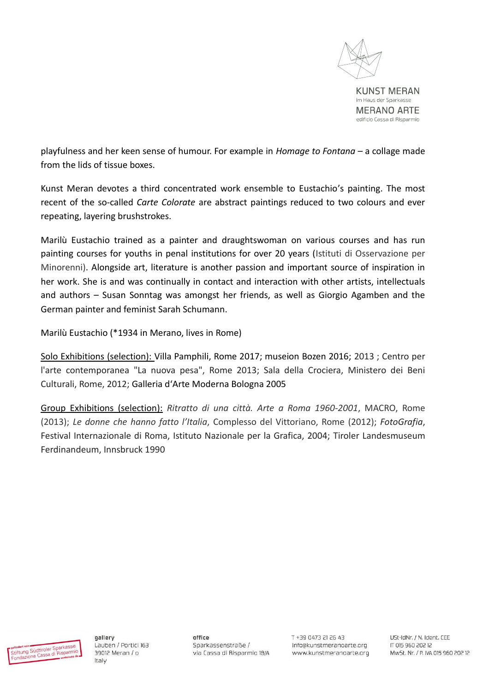

playfulness and her keen sense of humour. For example in *Homage to Fontana* – a collage made from the lids of tissue boxes.

Kunst Meran devotes a third concentrated work ensemble to Eustachio's painting. The most recent of the so-called *Carte Colorate* are abstract paintings reduced to two colours and ever repeating, layering brushstrokes.

Marilù Eustachio trained as a painter and draughtswoman on various courses and has run painting courses for youths in penal institutions for over 20 years (Istituti di Osservazione per Minorenni). Alongside art, literature is another passion and important source of inspiration in her work. She is and was continually in contact and interaction with other artists, intellectuals and authors – Susan Sonntag was amongst her friends, as well as Giorgio Agamben and the German painter and feminist Sarah Schumann.

Marilù Eustachio (\*1934 in Merano, lives in Rome)

Solo Exhibitions (selection): Villa Pamphili, Rome 2017; museion Bozen 2016; 2013 ; Centro per l'arte contemporanea "La nuova pesa", Rome 2013; Sala della Crociera, Ministero dei Beni Culturali, Rome, 2012; Galleria d'Arte Moderna Bologna 2005

Group Exhibitions (selection): *Ritratto di una città. Arte a Roma 1960-2001*, MACRO, Rome (2013); *Le donne che hanno fatto l'Italia*, Complesso del Vittoriano, Rome (2012); *FotoGrafia*, Festival Internazionale di Roma, Istituto Nazionale per la Grafica, 2004; Tiroler Landesmuseum Ferdinandeum, Innsbruck 1990